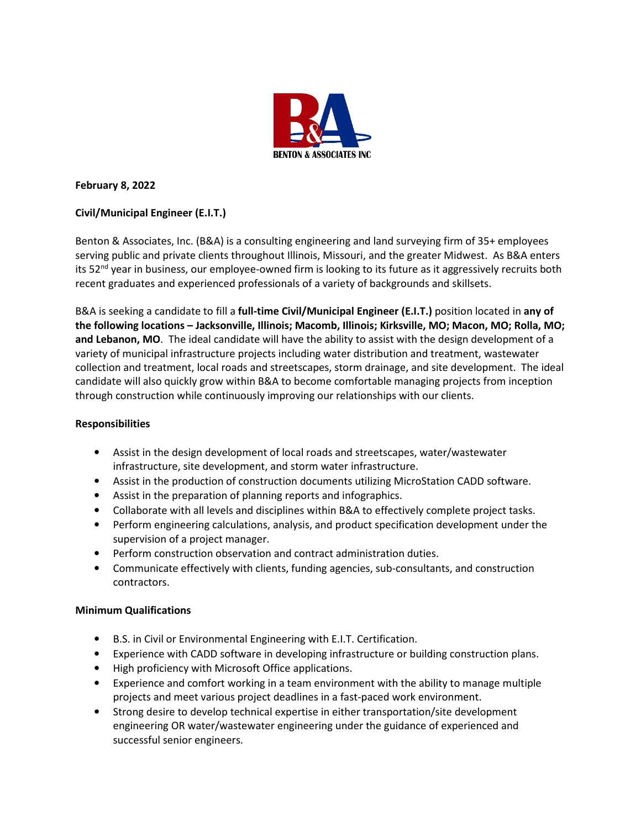

## **February 8, 2022**

# **Civil/Municipal Engineer (E.I.T.)**

Benton & Associates, Inc. (B&A) is a consulting engineering and land surveying firm of 35+ employees serving public and private clients throughout Illinois, Missouri, and the greater Midwest. As B&A enters its 52<sup>nd</sup> year in business, our employee-owned firm is looking to its future as it aggressively recruits both recent graduates and experienced professionals of a variety of backgrounds and skillsets.

B&A is seeking a candidate to fill a **full-time Civil/Municipal Engineer (E.I.T.)** position located in **any of the following locations – Jacksonville, Illinois; Macomb, Illinois; Kirksville, MO; Macon, MO; Rolla, MO; and Lebanon, MO**. The ideal candidate will have the ability to assist with the design development of a variety of municipal infrastructure projects including water distribution and treatment, wastewater collection and treatment, local roads and streetscapes, storm drainage, and site development. The ideal candidate will also quickly grow within B&A to become comfortable managing projects from inception through construction while continuously improving our relationships with our clients.

### **Responsibilities**

- Assist in the design development of local roads and streetscapes, water/wastewater infrastructure, site development, and storm water infrastructure.
- Assist in the production of construction documents utilizing MicroStation CADD software.
- Assist in the preparation of planning reports and infographics.
- Collaborate with all levels and disciplines within B&A to effectively complete project tasks.
- Perform engineering calculations, analysis, and product specification development under the supervision of a project manager.
- Perform construction observation and contract administration duties.
- Communicate effectively with clients, funding agencies, sub-consultants, and construction contractors.

### **Minimum Qualifications**

- B.S. in Civil or Environmental Engineering with E.I.T. Certification.
- Experience with CADD software in developing infrastructure or building construction plans.
- High proficiency with Microsoft Office applications.
- Experience and comfort working in a team environment with the ability to manage multiple projects and meet various project deadlines in a fast-paced work environment.
- Strong desire to develop technical expertise in either transportation/site development engineering OR water/wastewater engineering under the guidance of experienced and successful senior engineers.